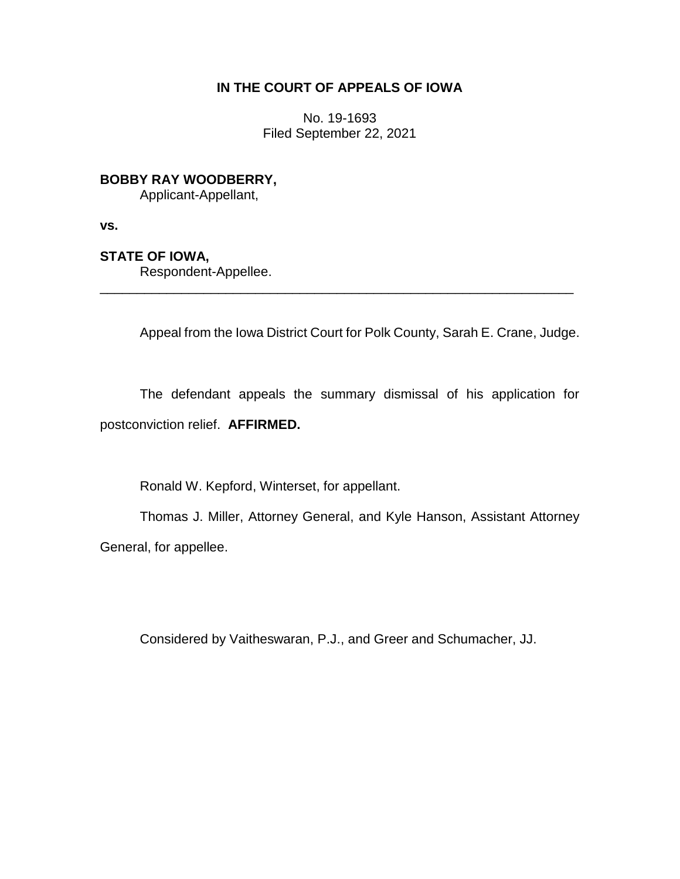## **IN THE COURT OF APPEALS OF IOWA**

No. 19-1693 Filed September 22, 2021

**BOBBY RAY WOODBERRY,**

Applicant-Appellant,

**vs.**

**STATE OF IOWA,**

Respondent-Appellee.

Appeal from the Iowa District Court for Polk County, Sarah E. Crane, Judge.

The defendant appeals the summary dismissal of his application for postconviction relief. **AFFIRMED.**

\_\_\_\_\_\_\_\_\_\_\_\_\_\_\_\_\_\_\_\_\_\_\_\_\_\_\_\_\_\_\_\_\_\_\_\_\_\_\_\_\_\_\_\_\_\_\_\_\_\_\_\_\_\_\_\_\_\_\_\_\_\_\_\_

Ronald W. Kepford, Winterset, for appellant.

Thomas J. Miller, Attorney General, and Kyle Hanson, Assistant Attorney General, for appellee.

Considered by Vaitheswaran, P.J., and Greer and Schumacher, JJ.